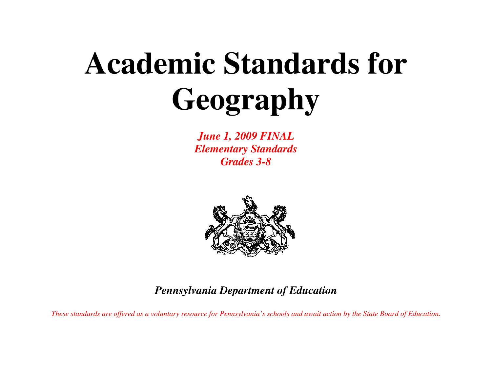# **Academic Standards for Geography**

*June 1, 2009 FINAL Elementary Standards Grades 3-8* 



*Pennsylvania Department of Education* 

*These standards are offered as a voluntary resource for Pennsylvania's schools and await action by the State Board of Education.*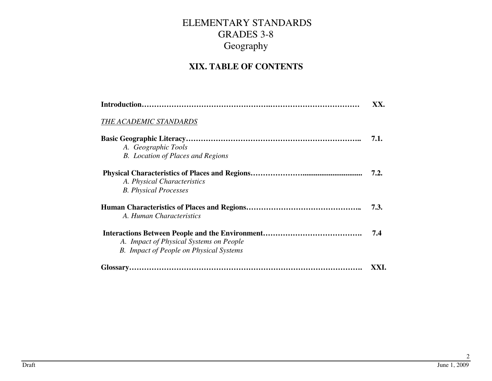#### **XIX. TABLE OF CONTENTS**

|                                                | XX.  |
|------------------------------------------------|------|
| THE ACADEMIC STANDARDS                         |      |
|                                                | 7.1. |
| A. Geographic Tools                            |      |
| <b>B.</b> Location of Places and Regions       |      |
|                                                | 7.2. |
| A. Physical Characteristics                    |      |
| <b>B.</b> Physical Processes                   |      |
|                                                | 7.3. |
| A. Human Characteristics                       |      |
|                                                | 7.4  |
| A. Impact of Physical Systems on People        |      |
| <b>B.</b> Impact of People on Physical Systems |      |
|                                                | XXI. |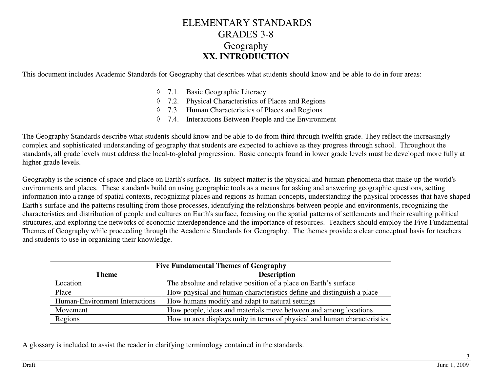#### ELEMENTARY STANDARDS GRADES 3-8 Geography **XX. INTRODUCTION**

This document includes Academic Standards for Geography that describes what students should know and be able to do in four areas:

- ◊ 7.1. Basic Geographic Literacy
- ◊ 7.2. Physical Characteristics of Places and Regions
- ◊ 7.3. Human Characteristics of Places and Regions
- ◊ 7.4. Interactions Between People and the Environment

The Geography Standards describe what students should know and be able to do from third through twelfth grade. They reflect the increasingly complex and sophisticated understanding of geography that students are expected to achieve as they progress through school. Throughout the standards, all grade levels must address the local-to-global progression. Basic concepts found in lower grade levels must be developed more fully at higher grade levels.

Geography is the science of space and place on Earth's surface. Its subject matter is the physical and human phenomena that make up the world's environments and places. These standards build on using geographic tools as a means for asking and answering geographic questions, setting information into a range of spatial contexts, recognizing places and regions as human concepts, understanding the physical processes that have shaped Earth's surface and the patterns resulting from those processes, identifying the relationships between people and environments, recognizing the characteristics and distribution of people and cultures on Earth's surface, focusing on the spatial patterns of settlements and their resulting political structures, and exploring the networks of economic interdependence and the importance of resources. Teachers should employ the Five Fundamental Themes of Geography while proceeding through the Academic Standards for Geography. The themes provide a clear conceptual basis for teachers and students to use in organizing their knowledge.

| <b>Five Fundamental Themes of Geography</b> |                                                                           |  |  |
|---------------------------------------------|---------------------------------------------------------------------------|--|--|
| <b>Theme</b>                                | <b>Description</b>                                                        |  |  |
| Location                                    | The absolute and relative position of a place on Earth's surface          |  |  |
| Place                                       | How physical and human characteristics define and distinguish a place     |  |  |
| Human-Environment Interactions              | How humans modify and adapt to natural settings                           |  |  |
| Movement                                    | How people, ideas and materials move between and among locations          |  |  |
| Regions                                     | How an area displays unity in terms of physical and human characteristics |  |  |

A glossary is included to assist the reader in clarifying terminology contained in the standards.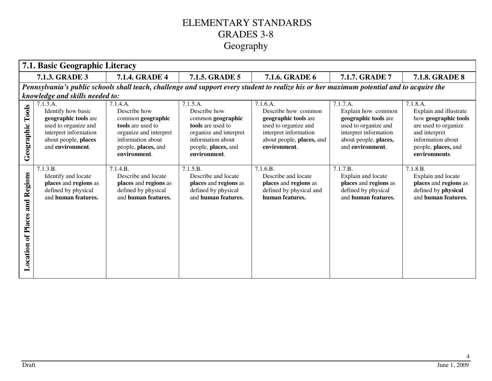|                                      | 7.1. Basic Geographic Literacy                                                                                                                      |                                                                                                                                                          |                                                                                                                                                          |                                                                                                                                                       |                                                                                                                                                      |                                                                                                                                                                  |
|--------------------------------------|-----------------------------------------------------------------------------------------------------------------------------------------------------|----------------------------------------------------------------------------------------------------------------------------------------------------------|----------------------------------------------------------------------------------------------------------------------------------------------------------|-------------------------------------------------------------------------------------------------------------------------------------------------------|------------------------------------------------------------------------------------------------------------------------------------------------------|------------------------------------------------------------------------------------------------------------------------------------------------------------------|
|                                      | 7.1.3. GRADE 3<br><b>7.1.4. GRADE 4</b><br><b>7.1.5. GRADE 5</b><br>7.1.6. GRADE 6<br>7.1.7. GRADE 7<br><b>7.1.8. GRADE 8</b>                       |                                                                                                                                                          |                                                                                                                                                          |                                                                                                                                                       |                                                                                                                                                      |                                                                                                                                                                  |
|                                      |                                                                                                                                                     |                                                                                                                                                          |                                                                                                                                                          | Pennsylvania's public schools shall teach, challenge and support every student to realize his or her maximum potential and to acquire the             |                                                                                                                                                      |                                                                                                                                                                  |
|                                      | knowledge and skills needed to:                                                                                                                     |                                                                                                                                                          |                                                                                                                                                          |                                                                                                                                                       |                                                                                                                                                      |                                                                                                                                                                  |
| Tools<br>Geographic                  | 7.1.3.A.<br>Identify how basic<br>geographic tools are<br>used to organize and<br>interpret information<br>about people, places<br>and environment. | 7.1.4.A.<br>Describe how<br>common geographic<br>tools are used to<br>organize and interpret<br>information about<br>people, places, and<br>environment. | 7.1.5.A.<br>Describe how<br>common geographic<br>tools are used to<br>organize and interpret<br>information about<br>people, places, and<br>environment. | 7.1.6.A.<br>Describe how common<br>geographic tools are<br>used to organize and<br>interpret information<br>about people, places, and<br>environment. | 7.1.7.A.<br>Explain how common<br>geographic tools are<br>used to organize and<br>interpret information<br>about people, places,<br>and environment. | 7.1.8.A.<br>Explain and illustrate<br>how geographic tools<br>are used to organize<br>and interpret<br>information about<br>people, places, and<br>environments. |
| and Regions<br>of Places<br>Location | 7.1.3.B.<br>Identify and locate<br>places and regions as<br>defined by physical<br>and human features.                                              | 7.1.4.B.<br>Describe and locate<br>places and regions as<br>defined by physical<br>and human features.                                                   | 7.1.5.B.<br>Describe and locate<br>places and regions as<br>defined by physical<br>and human features.                                                   | 7.1.6.B.<br>Describe and locate<br>places and regions as<br>defined by physical and<br>human features.                                                | 7.1.7.B.<br>Explain and locate<br>places and regions as<br>defined by physical<br>and human features.                                                | 7.1.8.B.<br>Explain and locate<br>places and regions as<br>defined by physical<br>and human features.                                                            |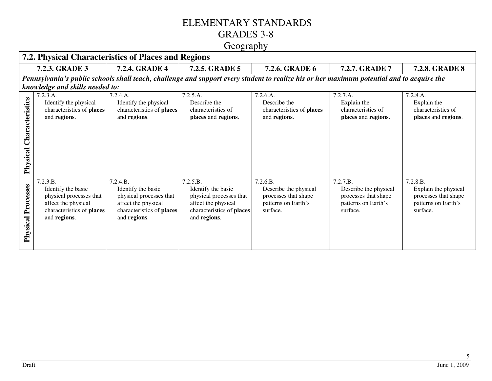#### ELEMENTARY STANDARDS GRADES 3-8

#### Geography

|                             | 7.2. Physical Characteristics of Places and Regions                                                                           |                                                                                                                               |                                                                                                                               |                                                                                                                                           |                                                                                              |                                                                                             |
|-----------------------------|-------------------------------------------------------------------------------------------------------------------------------|-------------------------------------------------------------------------------------------------------------------------------|-------------------------------------------------------------------------------------------------------------------------------|-------------------------------------------------------------------------------------------------------------------------------------------|----------------------------------------------------------------------------------------------|---------------------------------------------------------------------------------------------|
|                             | 7.2.3. GRADE 3                                                                                                                | <b>7.2.4. GRADE 4</b>                                                                                                         | <b>7.2.5. GRADE 5</b>                                                                                                         | 7.2.6. GRADE 6                                                                                                                            | 7.2.7. GRADE 7                                                                               | <b>7.2.8. GRADE 8</b>                                                                       |
|                             |                                                                                                                               |                                                                                                                               |                                                                                                                               | Pennsylvania's public schools shall teach, challenge and support every student to realize his or her maximum potential and to acquire the |                                                                                              |                                                                                             |
|                             | knowledge and skills needed to:                                                                                               |                                                                                                                               |                                                                                                                               |                                                                                                                                           |                                                                                              |                                                                                             |
| Characteristics<br>Physical | 7.2.3.A.<br>Identify the physical<br>characteristics of places<br>and regions.                                                | 7.2.4.A.<br>Identify the physical<br>characteristics of places<br>and regions.                                                | 7.2.5.A.<br>Describe the<br>characteristics of<br>places and regions.                                                         | 7.2.6.A.<br>Describe the<br>characteristics of places<br>and regions.                                                                     | 7.2.7.A.<br>Explain the<br>characteristics of<br>places and regions.                         | 7.2.8.A.<br>Explain the<br>characteristics of<br>places and regions.                        |
| Processes<br>Physical       | 7.2.3.B.<br>Identify the basic<br>physical processes that<br>affect the physical<br>characteristics of places<br>and regions. | 7.2.4.B.<br>Identify the basic<br>physical processes that<br>affect the physical<br>characteristics of places<br>and regions. | 7.2.5.B.<br>Identify the basic<br>physical processes that<br>affect the physical<br>characteristics of places<br>and regions. | 7.2.6.B.<br>Describe the physical<br>processes that shape<br>patterns on Earth's<br>surface.                                              | 7.2.7.B.<br>Describe the physical<br>processes that shape<br>patterns on Earth's<br>surface. | 7.2.8.B.<br>Explain the physical<br>processes that shape<br>patterns on Earth's<br>surface. |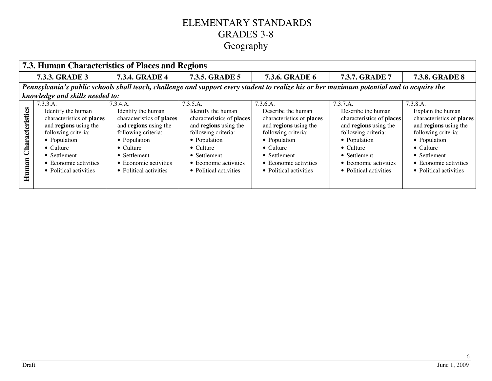|                                                                                                                                                                                                                     |                                                                                                                                                                                                                     | 7.3. Human Characteristics of Places and Regions                                                                                                                                                                    |                                                                                                                                                                                                                     |                                                                                                                                                                                                                    |  |  |
|---------------------------------------------------------------------------------------------------------------------------------------------------------------------------------------------------------------------|---------------------------------------------------------------------------------------------------------------------------------------------------------------------------------------------------------------------|---------------------------------------------------------------------------------------------------------------------------------------------------------------------------------------------------------------------|---------------------------------------------------------------------------------------------------------------------------------------------------------------------------------------------------------------------|--------------------------------------------------------------------------------------------------------------------------------------------------------------------------------------------------------------------|--|--|
| <b>7.3.4. GRADE 4</b>                                                                                                                                                                                               | <b>7.3.5. GRADE 5</b>                                                                                                                                                                                               | <b>7.3.6. GRADE 6</b>                                                                                                                                                                                               | 7.3.7. GRADE 7                                                                                                                                                                                                      | <b>7.3.8. GRADE 8</b>                                                                                                                                                                                              |  |  |
|                                                                                                                                                                                                                     |                                                                                                                                                                                                                     | Pennsylvania's public schools shall teach, challenge and support every student to realize his or her maximum potential and to acquire the                                                                           |                                                                                                                                                                                                                     |                                                                                                                                                                                                                    |  |  |
| knowledge and skills needed to:                                                                                                                                                                                     |                                                                                                                                                                                                                     |                                                                                                                                                                                                                     |                                                                                                                                                                                                                     |                                                                                                                                                                                                                    |  |  |
| 7.3.4.A.<br>Identify the human<br>characteristics of places<br>and regions using the<br>following criteria:<br>• Population<br>$\bullet$ Culture<br>• Settlement<br>• Economic activities<br>• Political activities | 7.3.5.A.<br>Identify the human<br>characteristics of places<br>and regions using the<br>following criteria:<br>• Population<br>$\bullet$ Culture<br>• Settlement<br>• Economic activities<br>• Political activities | 7.3.6.A.<br>Describe the human<br>characteristics of places<br>and regions using the<br>following criteria:<br>• Population<br>$\bullet$ Culture<br>• Settlement<br>• Economic activities<br>• Political activities | 7.3.7.A.<br>Describe the human<br>characteristics of places<br>and regions using the<br>following criteria:<br>• Population<br>$\bullet$ Culture<br>• Settlement<br>• Economic activities<br>• Political activities | 7.3.8.A.<br>Explain the human<br>characteristics of places<br>and regions using the<br>following criteria:<br>• Population<br>$\bullet$ Culture<br>• Settlement<br>• Economic activities<br>• Political activities |  |  |
|                                                                                                                                                                                                                     |                                                                                                                                                                                                                     |                                                                                                                                                                                                                     |                                                                                                                                                                                                                     |                                                                                                                                                                                                                    |  |  |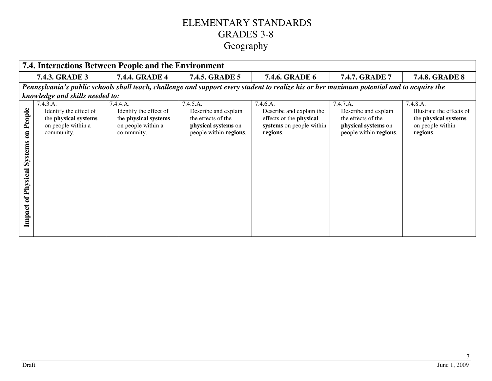|                                                                       | <b>7.4. Interactions Between People and the Environment</b>                                    |                                                                                                |                                                                                                         |                                                                                                                                           |                                                                                                         |                                                                                               |
|-----------------------------------------------------------------------|------------------------------------------------------------------------------------------------|------------------------------------------------------------------------------------------------|---------------------------------------------------------------------------------------------------------|-------------------------------------------------------------------------------------------------------------------------------------------|---------------------------------------------------------------------------------------------------------|-----------------------------------------------------------------------------------------------|
|                                                                       | 7.4.3. GRADE 3                                                                                 | <b>7.4.4. GRADE 4</b>                                                                          | <b>7.4.5. GRADE 5</b>                                                                                   | 7.4.6. GRADE 6                                                                                                                            | <b>7.4.7. GRADE 7</b>                                                                                   | <b>7.4.8. GRADE 8</b>                                                                         |
|                                                                       |                                                                                                |                                                                                                |                                                                                                         | Pennsylvania's public schools shall teach, challenge and support every student to realize his or her maximum potential and to acquire the |                                                                                                         |                                                                                               |
|                                                                       | knowledge and skills needed to:                                                                |                                                                                                |                                                                                                         |                                                                                                                                           |                                                                                                         |                                                                                               |
| People<br>$\overline{\mathbf{a}}$<br>Systems<br>of Physical<br>Impact | 7.4.3.A.<br>Identify the effect of<br>the physical systems<br>on people within a<br>community. | 7.4.4.A.<br>Identify the effect of<br>the physical systems<br>on people within a<br>community. | 7.4.5.A.<br>Describe and explain<br>the effects of the<br>physical systems on<br>people within regions. | 7.4.6.A.<br>Describe and explain the<br>effects of the physical<br>systems on people within<br>regions.                                   | 7.4.7.A.<br>Describe and explain<br>the effects of the<br>physical systems on<br>people within regions. | 7.4.8.A.<br>Illustrate the effects of<br>the physical systems<br>on people within<br>regions. |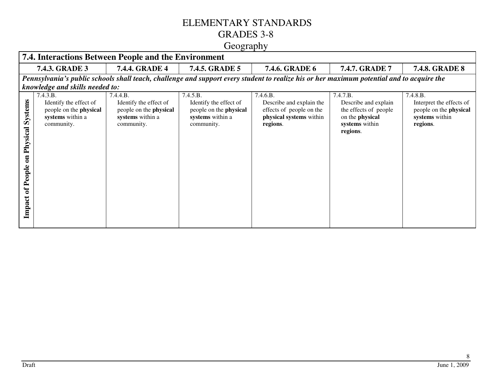#### ELEMENTARY STANDARDS GRADES 3-8

#### Geography

|                                                                                  | 7.4. Interactions Between People and the Environment                                                  |                                                                                                       |                                                                                                       |                                                                                                                                           |                                                                                                            |                                                                                              |
|----------------------------------------------------------------------------------|-------------------------------------------------------------------------------------------------------|-------------------------------------------------------------------------------------------------------|-------------------------------------------------------------------------------------------------------|-------------------------------------------------------------------------------------------------------------------------------------------|------------------------------------------------------------------------------------------------------------|----------------------------------------------------------------------------------------------|
|                                                                                  | <b>7.4.3. GRADE 3</b>                                                                                 | <b>7.4.4. GRADE 4</b>                                                                                 | 7.4.5. GRADE 5                                                                                        | 7.4.6. GRADE 6                                                                                                                            | <b>7.4.7. GRADE 7</b>                                                                                      | <b>7.4.8. GRADE 8</b>                                                                        |
|                                                                                  |                                                                                                       |                                                                                                       |                                                                                                       | Pennsylvania's public schools shall teach, challenge and support every student to realize his or her maximum potential and to acquire the |                                                                                                            |                                                                                              |
|                                                                                  | knowledge and skills needed to:                                                                       |                                                                                                       |                                                                                                       |                                                                                                                                           |                                                                                                            |                                                                                              |
| <b>Systems</b><br>Physical<br>$\overline{a}$<br>People<br>$\mathbf{f}$<br>Impact | 7.4.3.B.<br>Identify the effect of<br>people on the <b>physical</b><br>systems within a<br>community. | 7.4.4.B.<br>Identify the effect of<br>people on the <b>physical</b><br>systems within a<br>community. | 7.4.5.B.<br>Identify the effect of<br>people on the <b>physical</b><br>systems within a<br>community. | 7.4.6.B.<br>Describe and explain the<br>effects of people on the<br>physical systems within<br>regions.                                   | 7.4.7.B.<br>Describe and explain<br>the effects of people<br>on the physical<br>systems within<br>regions. | 7.4.8.B.<br>Interpret the effects of<br>people on the physical<br>systems within<br>regions. |